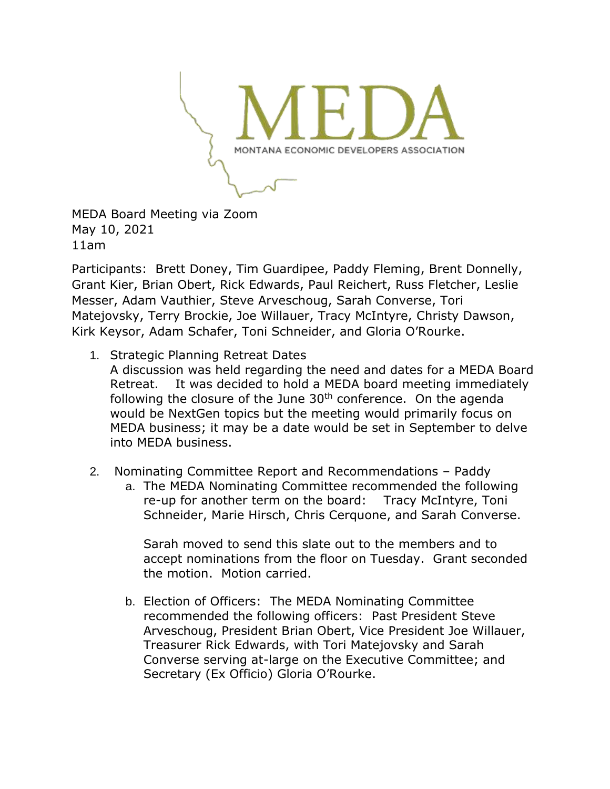

MEDA Board Meeting via Zoom May 10, 2021 11am

Participants: Brett Doney, Tim Guardipee, Paddy Fleming, Brent Donnelly, Grant Kier, Brian Obert, Rick Edwards, Paul Reichert, Russ Fletcher, Leslie Messer, Adam Vauthier, Steve Arveschoug, Sarah Converse, Tori Matejovsky, Terry Brockie, Joe Willauer, Tracy McIntyre, Christy Dawson, Kirk Keysor, Adam Schafer, Toni Schneider, and Gloria O'Rourke.

1. Strategic Planning Retreat Dates

A discussion was held regarding the need and dates for a MEDA Board Retreat. It was decided to hold a MEDA board meeting immediately following the closure of the June 30<sup>th</sup> conference. On the agenda would be NextGen topics but the meeting would primarily focus on MEDA business; it may be a date would be set in September to delve into MEDA business.

- 2. Nominating Committee Report and Recommendations Paddy
	- a. The MEDA Nominating Committee recommended the following re-up for another term on the board: Tracy McIntyre, Toni Schneider, Marie Hirsch, Chris Cerquone, and Sarah Converse.

Sarah moved to send this slate out to the members and to accept nominations from the floor on Tuesday. Grant seconded the motion. Motion carried.

b. Election of Officers: The MEDA Nominating Committee recommended the following officers: Past President Steve Arveschoug, President Brian Obert, Vice President Joe Willauer, Treasurer Rick Edwards, with Tori Matejovsky and Sarah Converse serving at-large on the Executive Committee; and Secretary (Ex Officio) Gloria O'Rourke.